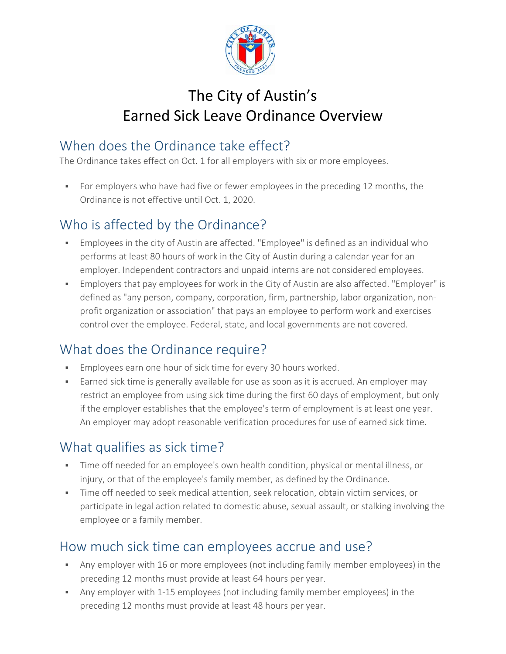

# The City of Austin's Earned Sick Leave Ordinance Overview

## When does the Ordinance take effect?

The Ordinance takes effect on Oct. 1 for all employers with six or more employees.

For employers who have had five or fewer employees in the preceding 12 months, the Ordinance is not effective until Oct. 1, 2020.

# Who is affected by the Ordinance?

- Employees in the city of Austin are affected. "Employee" is defined as an individual who performs at least 80 hours of work in the City of Austin during a calendar year for an employer. Independent contractors and unpaid interns are not considered employees.
- Employers that pay employees for work in the City of Austin are also affected. "Employer" is defined as "any person, company, corporation, firm, partnership, labor organization, non‐ profit organization or association" that pays an employee to perform work and exercises control over the employee. Federal, state, and local governments are not covered.

## What does the Ordinance require?

- **Employees earn one hour of sick time for every 30 hours worked.**
- Earned sick time is generally available for use as soon as it is accrued. An employer may restrict an employee from using sick time during the first 60 days of employment, but only if the employer establishes that the employee's term of employment is at least one year. An employer may adopt reasonable verification procedures for use of earned sick time.

## What qualifies as sick time?

- Time off needed for an employee's own health condition, physical or mental illness, or injury, or that of the employee's family member, as defined by the Ordinance.
- Time off needed to seek medical attention, seek relocation, obtain victim services, or participate in legal action related to domestic abuse, sexual assault, or stalking involving the employee or a family member.

#### How much sick time can employees accrue and use?

- Any employer with 16 or more employees (not including family member employees) in the preceding 12 months must provide at least 64 hours per year.
- Any employer with 1‐15 employees (not including family member employees) in the preceding 12 months must provide at least 48 hours per year.